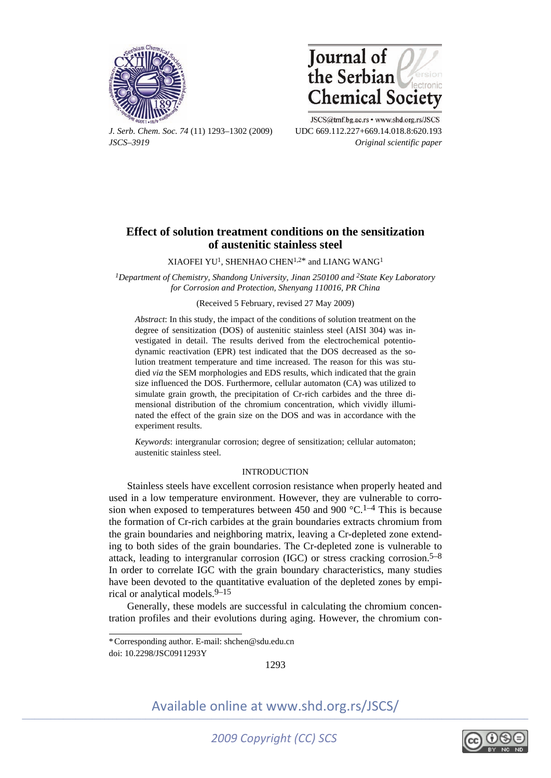



*J. Serb. Chem. Soc. 74* (11) 1293–1302 (2009) UDC 669.112.227+669.14.018.8:620.193 *JSCS–3919 Original scientific paper* 

JSCS@tmf.bg.ac.rs • www.shd.org.rs/JSCS

# **Effect of solution treatment conditions on the sensitization of austenitic stainless steel**

XIAOFEI YU<sup>1</sup>, SHENHAO CHEN<sup>1,2\*</sup> and LIANG WANG<sup>1</sup>

<sup>1</sup>Department of Chemistry, Shandong University, Jinan 250100 and <sup>2</sup>State Key Laboratory *for Corrosion and Protection, Shenyang 110016, PR China* 

(Received 5 February, revised 27 May 2009)

*Abstract*: In this study, the impact of the conditions of solution treatment on the degree of sensitization (DOS) of austenitic stainless steel (AISI 304) was investigated in detail. The results derived from the electrochemical potentiodynamic reactivation (EPR) test indicated that the DOS decreased as the solution treatment temperature and time increased. The reason for this was studied *via* the SEM morphologies and EDS results, which indicated that the grain size influenced the DOS. Furthermore, cellular automaton (CA) was utilized to simulate grain growth, the precipitation of Cr-rich carbides and the three dimensional distribution of the chromium concentration, which vividly illuminated the effect of the grain size on the DOS and was in accordance with the experiment results.

*Keywords*: intergranular corrosion; degree of sensitization; cellular automaton; austenitic stainless steel.

# INTRODUCTION

Stainless steels have excellent corrosion resistance when properly heated and used in a low temperature environment. However, they are vulnerable to corrosion when exposed to temperatures between 450 and 900  $^{\circ}$ C.<sup>1–4</sup> This is because the formation of Cr-rich carbides at the grain boundaries extracts chromium from the grain boundaries and neighboring matrix, leaving a Cr-depleted zone extending to both sides of the grain boundaries. The Cr-depleted zone is vulnerable to attack, leading to intergranular corrosion (IGC) or stress cracking corrosion.<sup>5–8</sup> In order to correlate IGC with the grain boundary characteristics, many studies have been devoted to the quantitative evaluation of the depleted zones by empirical or analytical models.9–15

Generally, these models are successful in calculating the chromium concentration profiles and their evolutions during aging. However, the chromium con-

í

1293





doi: 10.2298/JSC0911293Y \* Corresponding author. E-mail: shchen@sdu.edu.cn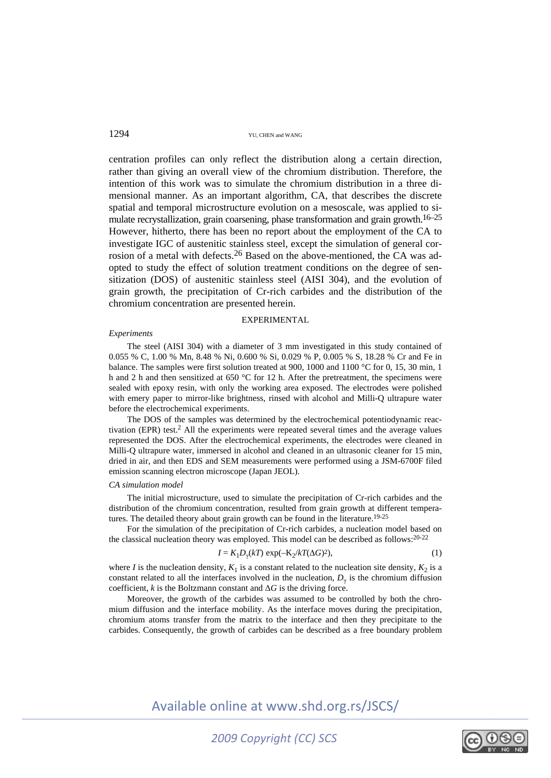centration profiles can only reflect the distribution along a certain direction, rather than giving an overall view of the chromium distribution. Therefore, the intention of this work was to simulate the chromium distribution in a three dimensional manner. As an important algorithm, CA, that describes the discrete spatial and temporal microstructure evolution on a mesoscale, was applied to simulate recrystallization, grain coarsening, phase transformation and grain growth.16–25 However, hitherto, there has been no report about the employment of the CA to investigate IGC of austenitic stainless steel, except the simulation of general corrosion of a metal with defects.26 Based on the above-mentioned, the CA was adopted to study the effect of solution treatment conditions on the degree of sensitization (DOS) of austenitic stainless steel (AISI 304), and the evolution of grain growth, the precipitation of Cr-rich carbides and the distribution of the chromium concentration are presented herein.

### EXPERIMENTAL

#### *Experiments*

The steel (AISI 304) with a diameter of 3 mm investigated in this study contained of 0.055 % C, 1.00 % Mn, 8.48 % Ni, 0.600 % Si, 0.029 % P, 0.005 % S, 18.28 % Cr and Fe in balance. The samples were first solution treated at 900, 1000 and 1100 °C for 0, 15, 30 min, 1 h and 2 h and then sensitized at 650 °C for 12 h. After the pretreatment, the specimens were sealed with epoxy resin, with only the working area exposed. The electrodes were polished with emery paper to mirror-like brightness, rinsed with alcohol and Milli-Q ultrapure water before the electrochemical experiments.

The DOS of the samples was determined by the electrochemical potentiodynamic reactivation (EPR) test.2 All the experiments were repeated several times and the average values represented the DOS. After the electrochemical experiments, the electrodes were cleaned in Milli-Q ultrapure water, immersed in alcohol and cleaned in an ultrasonic cleaner for 15 min, dried in air, and then EDS and SEM measurements were performed using a JSM-6700F filed emission scanning electron microscope (Japan JEOL).

## *CA simulation model*

The initial microstructure, used to simulate the precipitation of Cr-rich carbides and the distribution of the chromium concentration, resulted from grain growth at different temperatures. The detailed theory about grain growth can be found in the literature.<sup>19-25</sup>

For the simulation of the precipitation of Cr-rich carbides, a nucleation model based on the classical nucleation theory was employed. This model can be described as follows:  $20-22$ 

$$
I = K_1 D_\gamma(kT) \exp(-\mathbf{K}_2/kT(\Delta G)^2),\tag{1}
$$

where *I* is the nucleation density,  $K_1$  is a constant related to the nucleation site density,  $K_2$  is a constant related to all the interfaces involved in the nucleation,  $D<sub>y</sub>$  is the chromium diffusion coefficient,  $k$  is the Boltzmann constant and  $\Delta G$  is the driving force.

Moreover, the growth of the carbides was assumed to be controlled by both the chromium diffusion and the interface mobility. As the interface moves during the precipitation, chromium atoms transfer from the matrix to the interface and then they precipitate to the carbides. Consequently, the growth of carbides can be described as a free boundary problem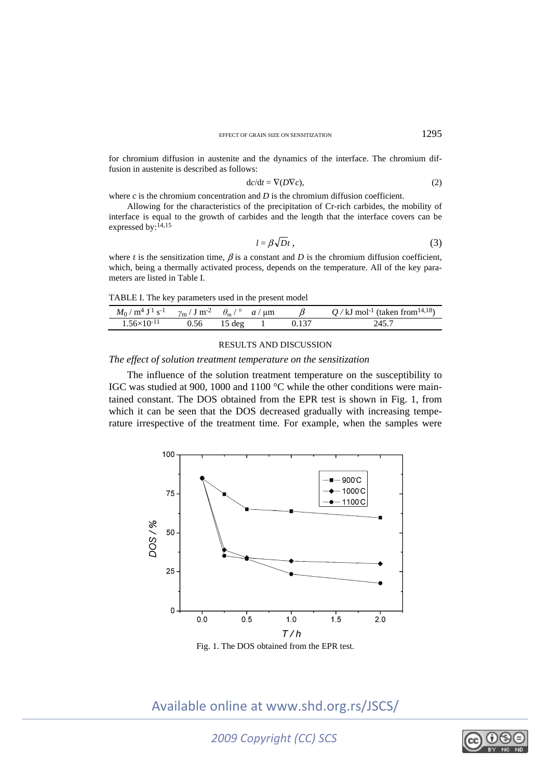for chromium diffusion in austenite and the dynamics of the interface. The chromium diffusion in austenite is described as follows:

$$
dc/dt = \nabla(D\nabla c),\tag{2}
$$

where *c* is the chromium concentration and *D* is the chromium diffusion coefficient.

Allowing for the characteristics of the precipitation of Cr-rich carbides, the mobility of interface is equal to the growth of carbides and the length that the interface covers can be expressed by: $14,15$ 

$$
l = \beta \sqrt{D} t \,, \tag{3}
$$

where *t* is the sensitization time,  $\beta$  is a constant and *D* is the chromium diffusion coefficient, which, being a thermally activated process, depends on the temperature. All of the key parameters are listed in Table I.

TABLE I. The key parameters used in the present model

| $M_0/m^4 J^1 s^{-1}$ $\gamma_m/J m^{-2}$ $\theta_m/\text{°}$ $a/\mu m$ |      |                  |  | $Q$ / kJ mol <sup>-1</sup> (taken from <sup>14,18</sup> ) |
|------------------------------------------------------------------------|------|------------------|--|-----------------------------------------------------------|
| $1.56\times10^{-11}$                                                   | 0.56 | $15 \text{ deg}$ |  | 245.7                                                     |

#### RESULTS AND DISCUSSION

# *The effect of solution treatment temperature on the sensitization*

The influence of the solution treatment temperature on the susceptibility to IGC was studied at 900, 1000 and 1100 °C while the other conditions were maintained constant. The DOS obtained from the EPR test is shown in Fig. 1, from which it can be seen that the DOS decreased gradually with increasing temperature irrespective of the treatment time. For example, when the samples were



Fig. 1. The DOS obtained from the EPR test.

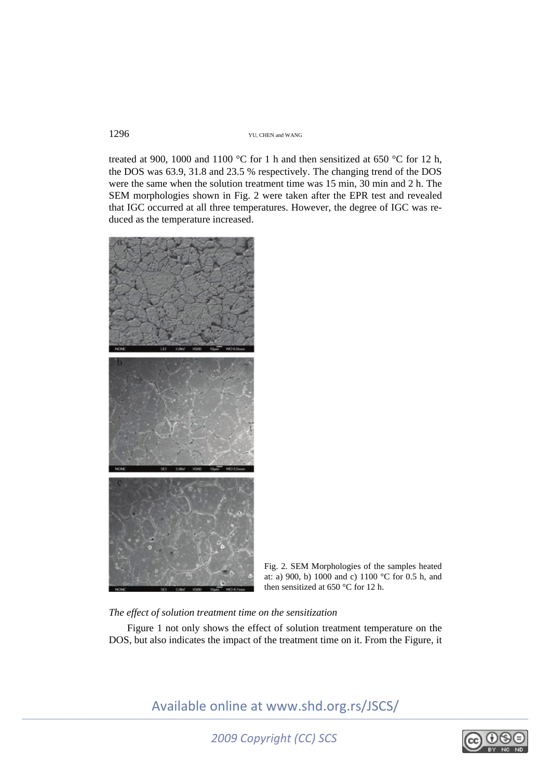treated at 900, 1000 and 1100 °C for 1 h and then sensitized at 650 °C for 12 h, the DOS was 63.9, 31.8 and 23.5 % respectively. The changing trend of the DOS were the same when the solution treatment time was 15 min, 30 min and 2 h. The SEM morphologies shown in Fig. 2 were taken after the EPR test and revealed that IGC occurred at all three temperatures. However, the degree of IGC was reduced as the temperature increased.



Fig. 2. SEM Morphologies of the samples heated at: a) 900, b) 1000 and c) 1100 °C for 0.5 h, and then sensitized at 650 °C for 12 h.

# *The effect of solution treatment time on the sensitization*

Figure 1 not only shows the effect of solution treatment temperature on the DOS, but also indicates the impact of the treatment time on it. From the Figure, it

*2009 Copyright (CC) SCS* 

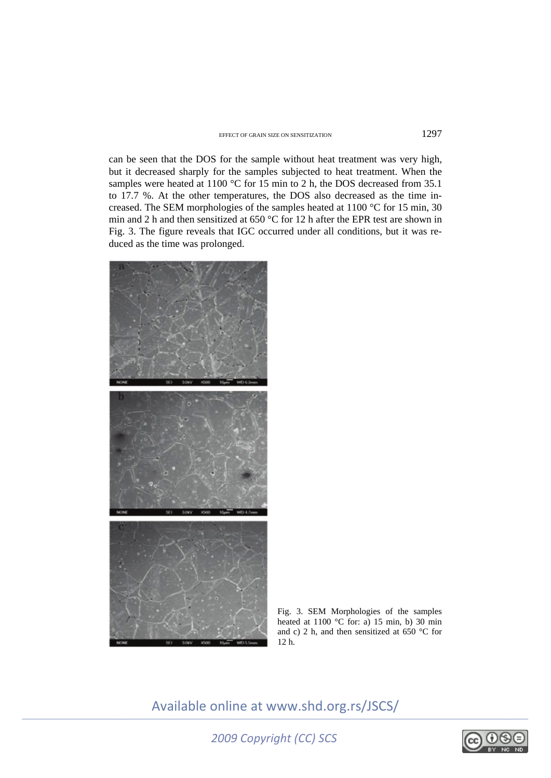# EFFECT OF GRAIN SIZE ON SENSITIZATION 1297

can be seen that the DOS for the sample without heat treatment was very high, but it decreased sharply for the samples subjected to heat treatment. When the samples were heated at 1100 °C for 15 min to 2 h, the DOS decreased from 35.1 to 17.7 %. At the other temperatures, the DOS also decreased as the time increased. The SEM morphologies of the samples heated at 1100 °C for 15 min, 30 min and 2 h and then sensitized at 650 °C for 12 h after the EPR test are shown in Fig. 3. The figure reveals that IGC occurred under all conditions, but it was reduced as the time was prolonged.



Fig. 3. SEM Morphologies of the samples heated at 1100  $\degree$ C for: a) 15 min, b) 30 min and c) 2 h, and then sensitized at 650 °C for 12 h.

*2009 Copyright (CC) SCS* 

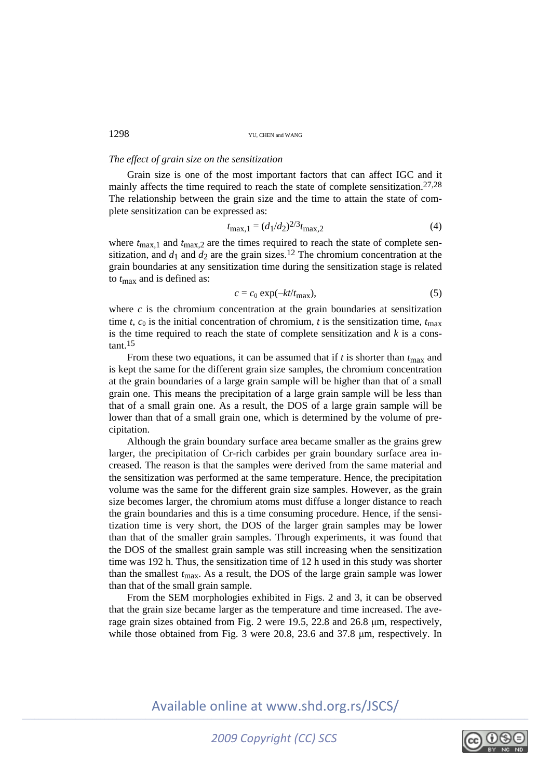# *The effect of grain size on the sensitization*

Grain size is one of the most important factors that can affect IGC and it mainly affects the time required to reach the state of complete sensitization.<sup>27,28</sup> The relationship between the grain size and the time to attain the state of complete sensitization can be expressed as:

$$
t_{\text{max},1} = (d_1/d_2)^{2/3} t_{\text{max},2} \tag{4}
$$

where  $t_{\text{max},1}$  and  $t_{\text{max},2}$  are the times required to reach the state of complete sensitization, and  $d_1$  and  $d_2$  are the grain sizes.<sup>12</sup> The chromium concentration at the grain boundaries at any sensitization time during the sensitization stage is related to *t*max and is defined as:

$$
c = c_0 \exp(-kt/t_{\text{max}}),\tag{5}
$$

where  $c$  is the chromium concentration at the grain boundaries at sensitization time *t*,  $c_0$  is the initial concentration of chromium, *t* is the sensitization time,  $t_{\text{max}}$ is the time required to reach the state of complete sensitization and *k* is a constant 15

From these two equations, it can be assumed that if  $t$  is shorter than  $t_{\text{max}}$  and is kept the same for the different grain size samples, the chromium concentration at the grain boundaries of a large grain sample will be higher than that of a small grain one. This means the precipitation of a large grain sample will be less than that of a small grain one. As a result, the DOS of a large grain sample will be lower than that of a small grain one, which is determined by the volume of precipitation.

Although the grain boundary surface area became smaller as the grains grew larger, the precipitation of Cr-rich carbides per grain boundary surface area increased. The reason is that the samples were derived from the same material and the sensitization was performed at the same temperature. Hence, the precipitation volume was the same for the different grain size samples. However, as the grain size becomes larger, the chromium atoms must diffuse a longer distance to reach the grain boundaries and this is a time consuming procedure. Hence, if the sensitization time is very short, the DOS of the larger grain samples may be lower than that of the smaller grain samples. Through experiments, it was found that the DOS of the smallest grain sample was still increasing when the sensitization time was 192 h. Thus, the sensitization time of 12 h used in this study was shorter than the smallest  $t_{\text{max}}$ . As a result, the DOS of the large grain sample was lower than that of the small grain sample.

From the SEM morphologies exhibited in Figs. 2 and 3, it can be observed that the grain size became larger as the temperature and time increased. The average grain sizes obtained from Fig. 2 were 19.5, 22.8 and 26.8 μm, respectively, while those obtained from Fig. 3 were 20.8, 23.6 and 37.8 μm, respectively. In

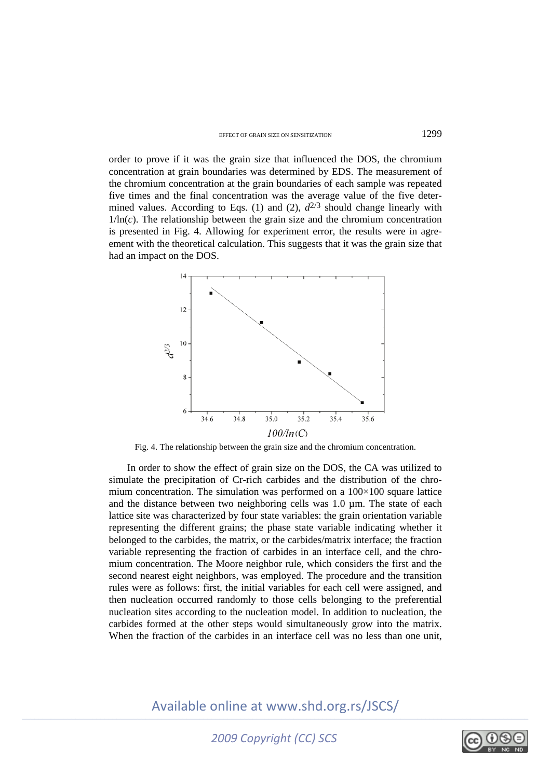order to prove if it was the grain size that influenced the DOS, the chromium concentration at grain boundaries was determined by EDS. The measurement of the chromium concentration at the grain boundaries of each sample was repeated five times and the final concentration was the average value of the five determined values. According to Eqs. (1) and (2),  $d^{2/3}$  should change linearly with  $1/\ln(c)$ . The relationship between the grain size and the chromium concentration is presented in Fig. 4. Allowing for experiment error, the results were in agreement with the theoretical calculation. This suggests that it was the grain size that had an impact on the DOS.



Fig. 4. The relationship between the grain size and the chromium concentration.

In order to show the effect of grain size on the DOS, the CA was utilized to simulate the precipitation of Cr-rich carbides and the distribution of the chromium concentration. The simulation was performed on a 100×100 square lattice and the distance between two neighboring cells was 1.0 µm. The state of each lattice site was characterized by four state variables: the grain orientation variable representing the different grains; the phase state variable indicating whether it belonged to the carbides, the matrix, or the carbides/matrix interface; the fraction variable representing the fraction of carbides in an interface cell, and the chromium concentration. The Moore neighbor rule, which considers the first and the second nearest eight neighbors, was employed. The procedure and the transition rules were as follows: first, the initial variables for each cell were assigned, and then nucleation occurred randomly to those cells belonging to the preferential nucleation sites according to the nucleation model. In addition to nucleation, the carbides formed at the other steps would simultaneously grow into the matrix. When the fraction of the carbides in an interface cell was no less than one unit.

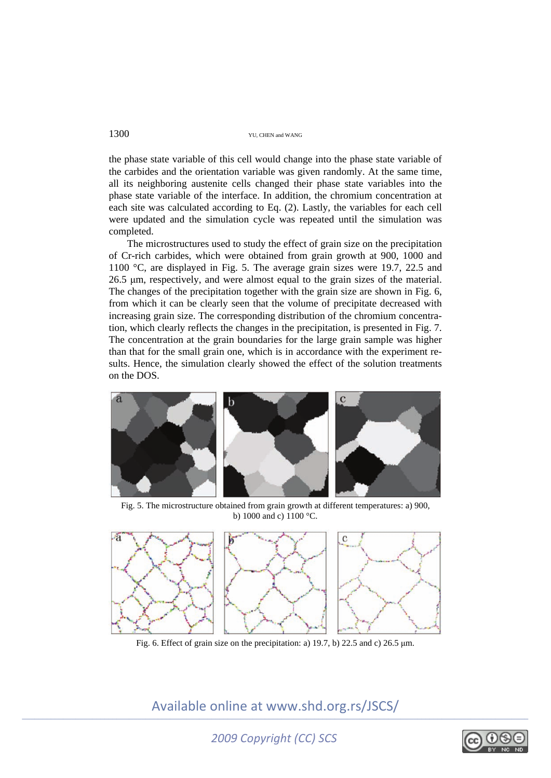the phase state variable of this cell would change into the phase state variable of the carbides and the orientation variable was given randomly. At the same time, all its neighboring austenite cells changed their phase state variables into the phase state variable of the interface. In addition, the chromium concentration at each site was calculated according to Eq. (2). Lastly, the variables for each cell were updated and the simulation cycle was repeated until the simulation was completed.

The microstructures used to study the effect of grain size on the precipitation of Cr-rich carbides, which were obtained from grain growth at 900, 1000 and 1100 °C, are displayed in Fig. 5. The average grain sizes were 19.7, 22.5 and 26.5 μm, respectively, and were almost equal to the grain sizes of the material. The changes of the precipitation together with the grain size are shown in Fig. 6, from which it can be clearly seen that the volume of precipitate decreased with increasing grain size. The corresponding distribution of the chromium concentration, which clearly reflects the changes in the precipitation, is presented in Fig. 7. The concentration at the grain boundaries for the large grain sample was higher than that for the small grain one, which is in accordance with the experiment results. Hence, the simulation clearly showed the effect of the solution treatments on the DOS.



Fig. 5. The microstructure obtained from grain growth at different temperatures: a) 900, b) 1000 and c) 1100 °C.



Fig. 6. Effect of grain size on the precipitation: a) 19.7, b) 22.5 and c) 26.5 μm.

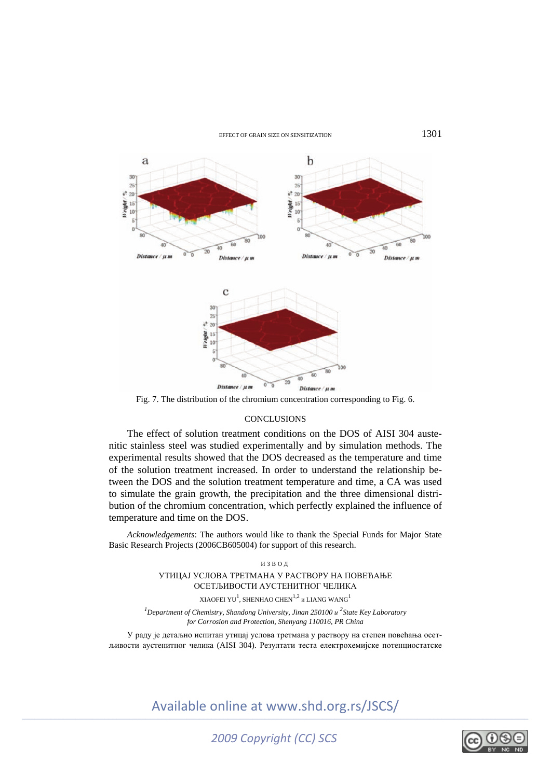## EFFECT OF GRAIN SIZE ON SENSITIZATION 1301



Fig. 7. The distribution of the chromium concentration corresponding to Fig. 6.

## **CONCLUSIONS**

The effect of solution treatment conditions on the DOS of AISI 304 austenitic stainless steel was studied experimentally and by simulation methods. The experimental results showed that the DOS decreased as the temperature and time of the solution treatment increased. In order to understand the relationship between the DOS and the solution treatment temperature and time, a CA was used to simulate the grain growth, the precipitation and the three dimensional distribution of the chromium concentration, which perfectly explained the influence of temperature and time on the DOS.

*Acknowledgements*: The authors would like to thank the Special Funds for Major State Basic Research Projects (2006CB605004) for support of this research.

> ИЗВОД УТИЦАЈ УСЛОВА ТРЕТМАНА У РАСТВОРУ НА ПОВЕЋАЊЕ ОСЕТЉИВОСТИ АУСТЕНИТНОГ ЧЕЛИКА

XIAOFEI YU $^{\rm l}$ , SHENHAO CHEN $^{\rm l,2}$  и LIANG WANG $^{\rm l}$ 

*<sup>1</sup>* Department of Chemistry, Shandong University, Jinan 250100 *u*<sup>2</sup> State Key Laboratory *for Corrosion and Protection, Shenyang 110016, PR China* 

У раду је детаљно испитан утицај услова третмана у раствору на степен повећања осетљивости аустенитног челика (AISI 304). Резултати теста електрохемијске потенциостатске